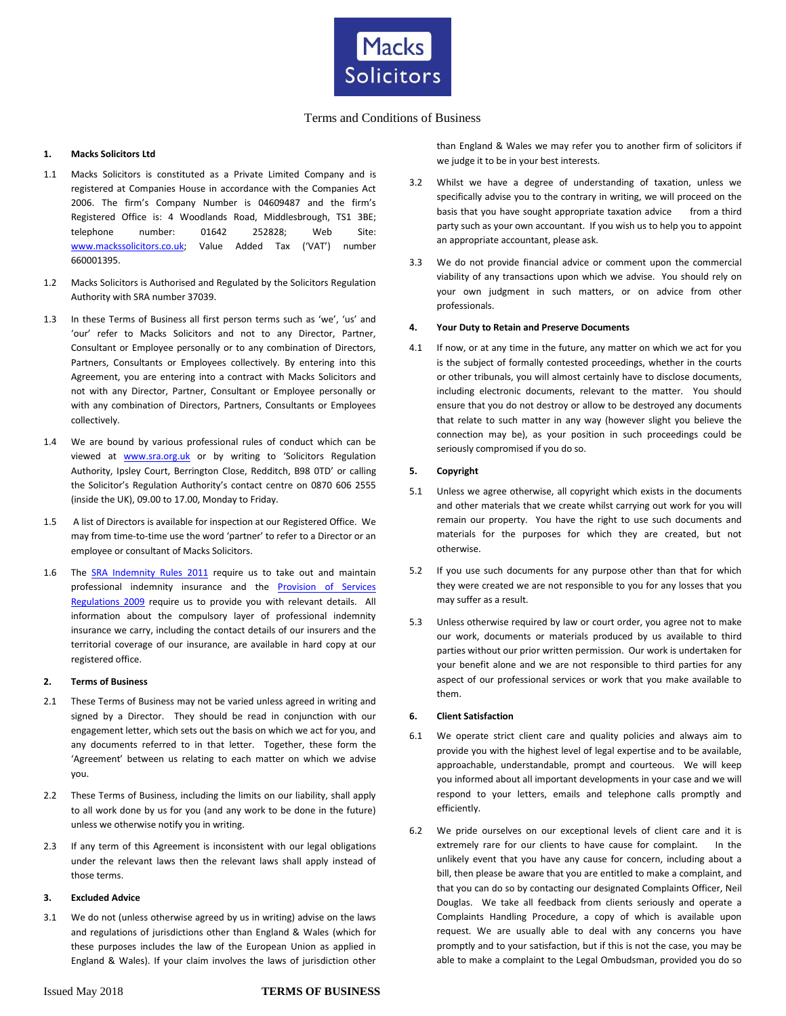

# Terms and Conditions of Business

# **1. Macks Solicitors Ltd**

- 1.1 Macks Solicitors is constituted as a Private Limited Company and is registered at Companies House in accordance with the Companies Act 2006. The firm's Company Number is 04609487 and the firm's Registered Office is: 4 Woodlands Road, Middlesbrough, TS1 3BE; telephone number: 01642 252828; Web Site: [www.mackssolicitors.co.uk](http://www.mackssolicitors.co.uk/); Value Added Tax ('VAT') number 660001395.
- 1.2 Macks Solicitors is Authorised and Regulated by the Solicitors Regulation Authority with SRA number 37039.
- 1.3 In these Terms of Business all first person terms such as 'we', 'us' and 'our' refer to Macks Solicitors and not to any Director, Partner, Consultant or Employee personally or to any combination of Directors, Partners, Consultants or Employees collectively. By entering into this Agreement, you are entering into a contract with Macks Solicitors and not with any Director, Partner, Consultant or Employee personally or with any combination of Directors, Partners, Consultants or Employees collectively.
- 1.4 We are bound by various professional rules of conduct which can be viewed at **[www.sra.org.uk](http://www.sra.org.uk/)** or by writing to 'Solicitors Regulation Authority, Ipsley Court, Berrington Close, Redditch, B98 0TD' or calling the Solicitor's Regulation Authority's contact centre on 0870 606 2555 (inside the UK), 09.00 to 17.00, Monday to Friday.
- 1.5 A list of Directors is available for inspection at our Registered Office. We may from time-to-time use the word 'partner' to refer to a Director or an employee or consultant of Macks Solicitors.
- 1.6 The [SRA Indemnity Rules 2011](http://www.sra.org.uk/solicitors/handbook/indemnityins/content.page) require us to take out and maintain professional indemnity insurance and the **Provision of Services** [Regulations 2009](http://www.opsi.gov.uk/si/si2009/draft/ukdsi_9780111486276_en_1) require us to provide you with relevant details. All information about the compulsory layer of professional indemnity insurance we carry, including the contact details of our insurers and the territorial coverage of our insurance, are available in hard copy at our registered office.

#### **2. Terms of Business**

- 2.1 These Terms of Business may not be varied unless agreed in writing and signed by a Director. They should be read in conjunction with our engagement letter, which sets out the basis on which we act for you, and any documents referred to in that letter. Together, these form the 'Agreement' between us relating to each matter on which we advise you.
- 2.2 These Terms of Business, including the limits on our liability, shall apply to all work done by us for you (and any work to be done in the future) unless we otherwise notify you in writing.
- 2.3 If any term of this Agreement is inconsistent with our legal obligations under the relevant laws then the relevant laws shall apply instead of those terms.

# **3. Excluded Advice**

3.1 We do not (unless otherwise agreed by us in writing) advise on the laws and regulations of jurisdictions other than England & Wales (which for these purposes includes the law of the European Union as applied in England & Wales). If your claim involves the laws of jurisdiction other than England & Wales we may refer you to another firm of solicitors if we judge it to be in your best interests.

- 3.2 Whilst we have a degree of understanding of taxation, unless we specifically advise you to the contrary in writing, we will proceed on the basis that you have sought appropriate taxation advice from a third party such as your own accountant. If you wish us to help you to appoint an appropriate accountant, please ask.
- 3.3 We do not provide financial advice or comment upon the commercial viability of any transactions upon which we advise. You should rely on your own judgment in such matters, or on advice from other professionals.

#### **4. Your Duty to Retain and Preserve Documents**

4.1 If now, or at any time in the future, any matter on which we act for you is the subject of formally contested proceedings, whether in the courts or other tribunals, you will almost certainly have to disclose documents, including electronic documents, relevant to the matter. You should ensure that you do not destroy or allow to be destroyed any documents that relate to such matter in any way (however slight you believe the connection may be), as your position in such proceedings could be seriously compromised if you do so.

## **5. Copyright**

- 5.1 Unless we agree otherwise, all copyright which exists in the documents and other materials that we create whilst carrying out work for you will remain our property. You have the right to use such documents and materials for the purposes for which they are created, but not otherwise.
- 5.2 If you use such documents for any purpose other than that for which they were created we are not responsible to you for any losses that you may suffer as a result.
- 5.3 Unless otherwise required by law or court order, you agree not to make our work, documents or materials produced by us available to third parties without our prior written permission. Our work is undertaken for your benefit alone and we are not responsible to third parties for any aspect of our professional services or work that you make available to them.

#### **6. Client Satisfaction**

- 6.1 We operate strict client care and quality policies and always aim to provide you with the highest level of legal expertise and to be available, approachable, understandable, prompt and courteous. We will keep you informed about all important developments in your case and we will respond to your letters, emails and telephone calls promptly and efficiently.
- 6.2 We pride ourselves on our exceptional levels of client care and it is extremely rare for our clients to have cause for complaint. In the unlikely event that you have any cause for concern, including about a bill, then please be aware that you are entitled to make a complaint, and that you can do so by contacting our designated Complaints Officer, Neil Douglas. We take all feedback from clients seriously and operate a Complaints Handling Procedure, a copy of which is available upon request. We are usually able to deal with any concerns you have promptly and to your satisfaction, but if this is not the case, you may be able to make a complaint to the Legal Ombudsman, provided you do so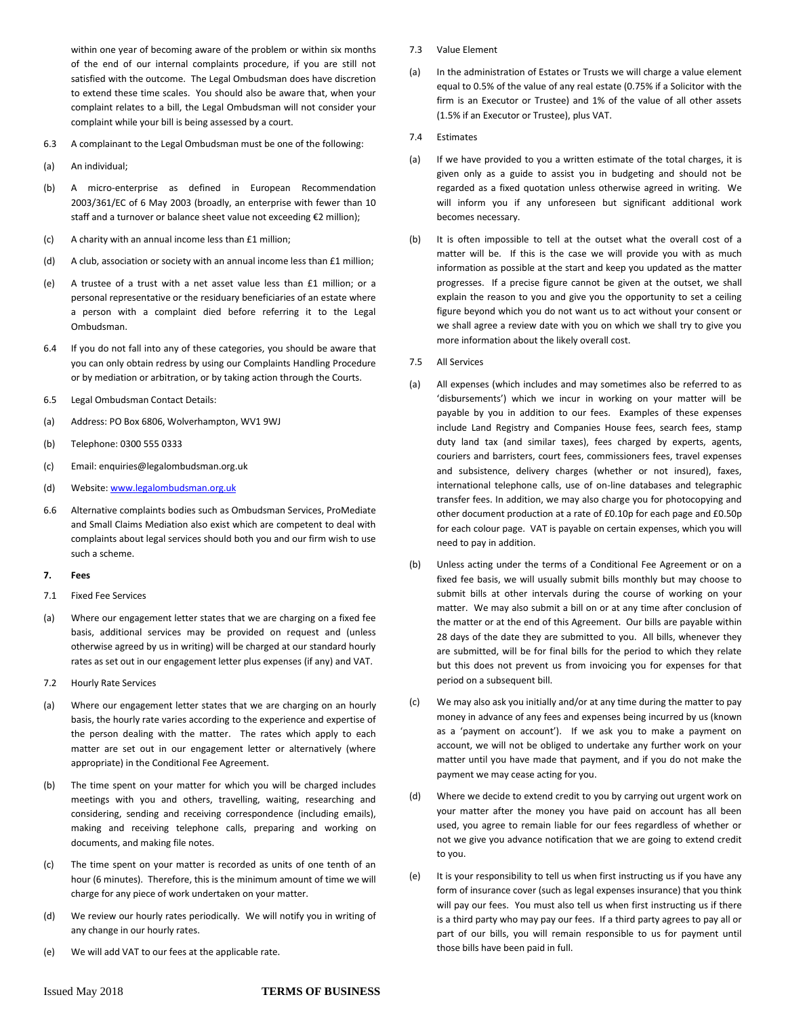within one year of becoming aware of the problem or within six months of the end of our internal complaints procedure, if you are still not satisfied with the outcome. The Legal Ombudsman does have discretion to extend these time scales. You should also be aware that, when your complaint relates to a bill, the Legal Ombudsman will not consider your complaint while your bill is being assessed by a court.

- 6.3 A complainant to the Legal Ombudsman must be one of the following:
- (a) An individual;
- (b) A micro-enterprise as defined in European Recommendation 2003/361/EC of 6 May 2003 (broadly, an enterprise with fewer than 10 staff and a turnover or balance sheet value not exceeding €2 million);
- (c) A charity with an annual income less than £1 million;
- (d) A club, association or society with an annual income less than £1 million;
- (e) A trustee of a trust with a net asset value less than £1 million; or a personal representative or the residuary beneficiaries of an estate where a person with a complaint died before referring it to the Legal Ombudsman.
- 6.4 If you do not fall into any of these categories, you should be aware that you can only obtain redress by using our Complaints Handling Procedure or by mediation or arbitration, or by taking action through the Courts.
- 6.5 Legal Ombudsman Contact Details:
- (a) Address: PO Box 6806, Wolverhampton, WV1 9WJ
- (b) Telephone: 0300 555 0333
- (c) Email: enquiries@legalombudsman.org.uk
- (d) Website[: www.legalombudsman.org.uk](http://www.legalombudsman.org.uk/)
- 6.6 Alternative complaints bodies such as Ombudsman Services, ProMediate and Small Claims Mediation also exist which are competent to deal with complaints about legal services should both you and our firm wish to use such a scheme.

#### **7. Fees**

- 7.1 Fixed Fee Services
- (a) Where our engagement letter states that we are charging on a fixed fee basis, additional services may be provided on request and (unless otherwise agreed by us in writing) will be charged at our standard hourly rates as set out in our engagement letter plus expenses (if any) and VAT.
- 7.2 Hourly Rate Services
- (a) Where our engagement letter states that we are charging on an hourly basis, the hourly rate varies according to the experience and expertise of the person dealing with the matter. The rates which apply to each matter are set out in our engagement letter or alternatively (where appropriate) in the Conditional Fee Agreement.
- (b) The time spent on your matter for which you will be charged includes meetings with you and others, travelling, waiting, researching and considering, sending and receiving correspondence (including emails), making and receiving telephone calls, preparing and working on documents, and making file notes.
- (c) The time spent on your matter is recorded as units of one tenth of an hour (6 minutes). Therefore, this is the minimum amount of time we will charge for any piece of work undertaken on your matter.
- (d) We review our hourly rates periodically. We will notify you in writing of any change in our hourly rates.
- (e) We will add VAT to our fees at the applicable rate.
- 7.3 Value Element
- (a) In the administration of Estates or Trusts we will charge a value element equal to 0.5% of the value of any real estate (0.75% if a Solicitor with the firm is an Executor or Trustee) and 1% of the value of all other assets (1.5% if an Executor or Trustee), plus VAT.
- 7.4 Estimates
- (a) If we have provided to you a written estimate of the total charges, it is given only as a guide to assist you in budgeting and should not be regarded as a fixed quotation unless otherwise agreed in writing. We will inform you if any unforeseen but significant additional work becomes necessary.
- (b) It is often impossible to tell at the outset what the overall cost of a matter will be. If this is the case we will provide you with as much information as possible at the start and keep you updated as the matter progresses. If a precise figure cannot be given at the outset, we shall explain the reason to you and give you the opportunity to set a ceiling figure beyond which you do not want us to act without your consent or we shall agree a review date with you on which we shall try to give you more information about the likely overall cost.
- 7.5 All Services
- (a) All expenses (which includes and may sometimes also be referred to as 'disbursements') which we incur in working on your matter will be payable by you in addition to our fees. Examples of these expenses include Land Registry and Companies House fees, search fees, stamp duty land tax (and similar taxes), fees charged by experts, agents, couriers and barristers, court fees, commissioners fees, travel expenses and subsistence, delivery charges (whether or not insured), faxes, international telephone calls, use of on-line databases and telegraphic transfer fees. In addition, we may also charge you for photocopying and other document production at a rate of £0.10p for each page and £0.50p for each colour page. VAT is payable on certain expenses, which you will need to pay in addition.
- (b) Unless acting under the terms of a Conditional Fee Agreement or on a fixed fee basis, we will usually submit bills monthly but may choose to submit bills at other intervals during the course of working on your matter. We may also submit a bill on or at any time after conclusion of the matter or at the end of this Agreement. Our bills are payable within 28 days of the date they are submitted to you. All bills, whenever they are submitted, will be for final bills for the period to which they relate but this does not prevent us from invoicing you for expenses for that period on a subsequent bill.
- (c) We may also ask you initially and/or at any time during the matter to pay money in advance of any fees and expenses being incurred by us (known as a 'payment on account'). If we ask you to make a payment on account, we will not be obliged to undertake any further work on your matter until you have made that payment, and if you do not make the payment we may cease acting for you.
- (d) Where we decide to extend credit to you by carrying out urgent work on your matter after the money you have paid on account has all been used, you agree to remain liable for our fees regardless of whether or not we give you advance notification that we are going to extend credit to you.
- (e) It is your responsibility to tell us when first instructing us if you have any form of insurance cover (such as legal expenses insurance) that you think will pay our fees. You must also tell us when first instructing us if there is a third party who may pay our fees. If a third party agrees to pay all or part of our bills, you will remain responsible to us for payment until those bills have been paid in full.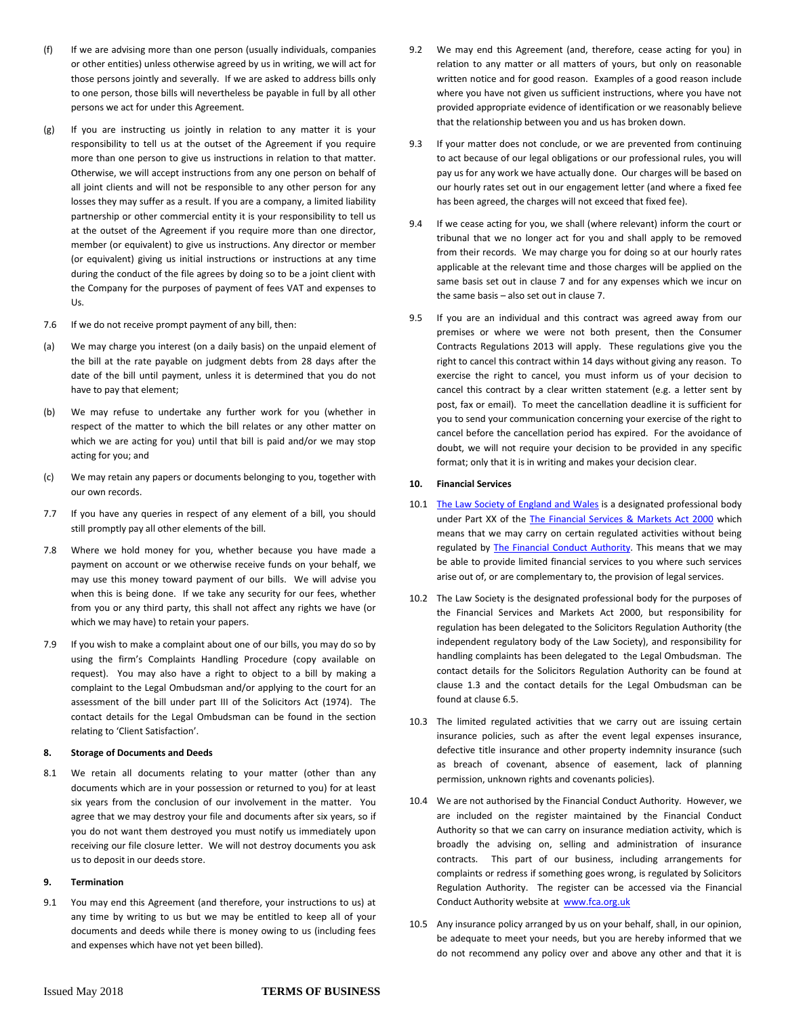- (f) If we are advising more than one person (usually individuals, companies or other entities) unless otherwise agreed by us in writing, we will act for those persons jointly and severally. If we are asked to address bills only to one person, those bills will nevertheless be payable in full by all other persons we act for under this Agreement.
- (g) If you are instructing us jointly in relation to any matter it is your responsibility to tell us at the outset of the Agreement if you require more than one person to give us instructions in relation to that matter. Otherwise, we will accept instructions from any one person on behalf of all joint clients and will not be responsible to any other person for any losses they may suffer as a result. If you are a company, a limited liability partnership or other commercial entity it is your responsibility to tell us at the outset of the Agreement if you require more than one director, member (or equivalent) to give us instructions. Any director or member (or equivalent) giving us initial instructions or instructions at any time during the conduct of the file agrees by doing so to be a joint client with the Company for the purposes of payment of fees VAT and expenses to Us.
- 7.6 If we do not receive prompt payment of any bill, then:
- (a) We may charge you interest (on a daily basis) on the unpaid element of the bill at the rate payable on judgment debts from 28 days after the date of the bill until payment, unless it is determined that you do not have to pay that element;
- (b) We may refuse to undertake any further work for you (whether in respect of the matter to which the bill relates or any other matter on which we are acting for you) until that bill is paid and/or we may stop acting for you; and
- (c) We may retain any papers or documents belonging to you, together with our own records.
- 7.7 If you have any queries in respect of any element of a bill, you should still promptly pay all other elements of the bill.
- 7.8 Where we hold money for you, whether because you have made a payment on account or we otherwise receive funds on your behalf, we may use this money toward payment of our bills. We will advise you when this is being done. If we take any security for our fees, whether from you or any third party, this shall not affect any rights we have (or which we may have) to retain your papers.
- 7.9 If you wish to make a complaint about one of our bills, you may do so by using the firm's Complaints Handling Procedure (copy available on request). You may also have a right to object to a bill by making a complaint to the Legal Ombudsman and/or applying to the court for an assessment of the bill under part III of the Solicitors Act (1974). The contact details for the Legal Ombudsman can be found in the section relating to 'Client Satisfaction'.

# **8. Storage of Documents and Deeds**

8.1 We retain all documents relating to your matter (other than any documents which are in your possession or returned to you) for at least six years from the conclusion of our involvement in the matter. You agree that we may destroy your file and documents after six years, so if you do not want them destroyed you must notify us immediately upon receiving our file closure letter. We will not destroy documents you ask us to deposit in our deeds store.

# **9. Termination**

9.1 You may end this Agreement (and therefore, your instructions to us) at any time by writing to us but we may be entitled to keep all of your documents and deeds while there is money owing to us (including fees and expenses which have not yet been billed).

- 9.2 We may end this Agreement (and, therefore, cease acting for you) in relation to any matter or all matters of yours, but only on reasonable written notice and for good reason. Examples of a good reason include where you have not given us sufficient instructions, where you have not provided appropriate evidence of identification or we reasonably believe that the relationship between you and us has broken down.
- 9.3 If your matter does not conclude, or we are prevented from continuing to act because of our legal obligations or our professional rules, you will pay us for any work we have actually done. Our charges will be based on our hourly rates set out in our engagement letter (and where a fixed fee has been agreed, the charges will not exceed that fixed fee).
- 9.4 If we cease acting for you, we shall (where relevant) inform the court or tribunal that we no longer act for you and shall apply to be removed from their records. We may charge you for doing so at our hourly rates applicable at the relevant time and those charges will be applied on the same basis set out in clause 7 and for any expenses which we incur on the same basis – also set out in clause 7.
- 9.5 If you are an individual and this contract was agreed away from our premises or where we were not both present, then the Consumer Contracts Regulations 2013 will apply. These regulations give you the right to cancel this contract within 14 days without giving any reason. To exercise the right to cancel, you must inform us of your decision to cancel this contract by a clear written statement (e.g. a letter sent by post, fax or email). To meet the cancellation deadline it is sufficient for you to send your communication concerning your exercise of the right to cancel before the cancellation period has expired. For the avoidance of doubt, we will not require your decision to be provided in any specific format; only that it is in writing and makes your decision clear.

# **10. Financial Services**

- 10.1 [The Law Society of England and Wales](http://www.lawsociety.org.uk/) is a designated professional body under Part XX of the [The Financial Services & Markets Act 2000](http://www.opsi.gov.uk/acts/acts2000/ukpga_20000008_en_1) which means that we may carry on certain regulated activities without being regulated by **The Financial Conduct Authority**. This means that we may be able to provide limited financial services to you where such services arise out of, or are complementary to, the provision of legal services.
- 10.2 The Law Society is the designated professional body for the purposes of the Financial Services and Markets Act 2000, but responsibility for regulation has been delegated to the Solicitors Regulation Authority (the independent regulatory body of the Law Society), and responsibility for handling complaints has been delegated to the Legal Ombudsman. The contact details for the Solicitors Regulation Authority can be found at clause 1.3 and the contact details for the Legal Ombudsman can be found at clause 6.5.
- 10.3 The limited regulated activities that we carry out are issuing certain insurance policies, such as after the event legal expenses insurance, defective title insurance and other property indemnity insurance (such as breach of covenant, absence of easement, lack of planning permission, unknown rights and covenants policies).
- 10.4 We are not authorised by the Financial Conduct Authority. However, we are included on the register maintained by the Financial Conduct Authority so that we can carry on insurance mediation activity, which is broadly the advising on, selling and administration of insurance contracts. This part of our business, including arrangements for complaints or redress if something goes wrong, is regulated by Solicitors Regulation Authority. The register can be accessed via the Financial Conduct Authority website at [www.fca.org.uk](http://www.fca.org.uk/)
- 10.5 Any insurance policy arranged by us on your behalf, shall, in our opinion, be adequate to meet your needs, but you are hereby informed that we do not recommend any policy over and above any other and that it is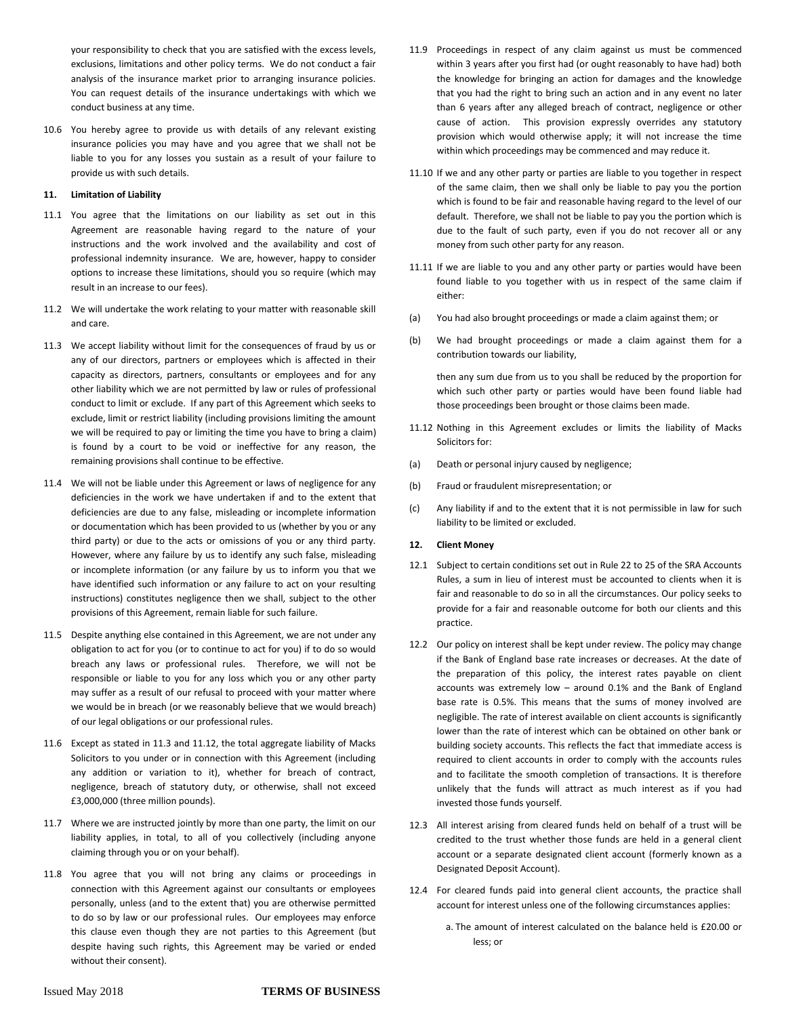your responsibility to check that you are satisfied with the excess levels, exclusions, limitations and other policy terms. We do not conduct a fair analysis of the insurance market prior to arranging insurance policies. You can request details of the insurance undertakings with which we conduct business at any time.

10.6 You hereby agree to provide us with details of any relevant existing insurance policies you may have and you agree that we shall not be liable to you for any losses you sustain as a result of your failure to provide us with such details.

#### **11. Limitation of Liability**

- 11.1 You agree that the limitations on our liability as set out in this Agreement are reasonable having regard to the nature of your instructions and the work involved and the availability and cost of professional indemnity insurance. We are, however, happy to consider options to increase these limitations, should you so require (which may result in an increase to our fees).
- 11.2 We will undertake the work relating to your matter with reasonable skill and care.
- 11.3 We accept liability without limit for the consequences of fraud by us or any of our directors, partners or employees which is affected in their capacity as directors, partners, consultants or employees and for any other liability which we are not permitted by law or rules of professional conduct to limit or exclude. If any part of this Agreement which seeks to exclude, limit or restrict liability (including provisions limiting the amount we will be required to pay or limiting the time you have to bring a claim) is found by a court to be void or ineffective for any reason, the remaining provisions shall continue to be effective.
- 11.4 We will not be liable under this Agreement or laws of negligence for any deficiencies in the work we have undertaken if and to the extent that deficiencies are due to any false, misleading or incomplete information or documentation which has been provided to us (whether by you or any third party) or due to the acts or omissions of you or any third party. However, where any failure by us to identify any such false, misleading or incomplete information (or any failure by us to inform you that we have identified such information or any failure to act on your resulting instructions) constitutes negligence then we shall, subject to the other provisions of this Agreement, remain liable for such failure.
- 11.5 Despite anything else contained in this Agreement, we are not under any obligation to act for you (or to continue to act for you) if to do so would breach any laws or professional rules. Therefore, we will not be responsible or liable to you for any loss which you or any other party may suffer as a result of our refusal to proceed with your matter where we would be in breach (or we reasonably believe that we would breach) of our legal obligations or our professional rules.
- 11.6 Except as stated in 11.3 and 11.12, the total aggregate liability of Macks Solicitors to you under or in connection with this Agreement (including any addition or variation to it), whether for breach of contract, negligence, breach of statutory duty, or otherwise, shall not exceed £3,000,000 (three million pounds).
- 11.7 Where we are instructed jointly by more than one party, the limit on our liability applies, in total, to all of you collectively (including anyone claiming through you or on your behalf).
- 11.8 You agree that you will not bring any claims or proceedings in connection with this Agreement against our consultants or employees personally, unless (and to the extent that) you are otherwise permitted to do so by law or our professional rules. Our employees may enforce this clause even though they are not parties to this Agreement (but despite having such rights, this Agreement may be varied or ended without their consent).
- 11.9 Proceedings in respect of any claim against us must be commenced within 3 years after you first had (or ought reasonably to have had) both the knowledge for bringing an action for damages and the knowledge that you had the right to bring such an action and in any event no later than 6 years after any alleged breach of contract, negligence or other cause of action. This provision expressly overrides any statutory provision which would otherwise apply; it will not increase the time within which proceedings may be commenced and may reduce it.
- 11.10 If we and any other party or parties are liable to you together in respect of the same claim, then we shall only be liable to pay you the portion which is found to be fair and reasonable having regard to the level of our default. Therefore, we shall not be liable to pay you the portion which is due to the fault of such party, even if you do not recover all or any money from such other party for any reason.
- 11.11 If we are liable to you and any other party or parties would have been found liable to you together with us in respect of the same claim if either:
- (a) You had also brought proceedings or made a claim against them; or
- (b) We had brought proceedings or made a claim against them for a contribution towards our liability,

then any sum due from us to you shall be reduced by the proportion for which such other party or parties would have been found liable had those proceedings been brought or those claims been made.

- 11.12 Nothing in this Agreement excludes or limits the liability of Macks Solicitors for:
- (a) Death or personal injury caused by negligence;
- (b) Fraud or fraudulent misrepresentation; or
- (c) Any liability if and to the extent that it is not permissible in law for such liability to be limited or excluded.

# **12. Client Money**

- 12.1 Subject to certain conditions set out in Rule 22 to 25 of the SRA Accounts Rules, a sum in lieu of interest must be accounted to clients when it is fair and reasonable to do so in all the circumstances. Our policy seeks to provide for a fair and reasonable outcome for both our clients and this practice.
- 12.2 Our policy on interest shall be kept under review. The policy may change if the Bank of England base rate increases or decreases. At the date of the preparation of this policy, the interest rates payable on client accounts was extremely low – around 0.1% and the Bank of England base rate is 0.5%. This means that the sums of money involved are negligible. The rate of interest available on client accounts is significantly lower than the rate of interest which can be obtained on other bank or building society accounts. This reflects the fact that immediate access is required to client accounts in order to comply with the accounts rules and to facilitate the smooth completion of transactions. It is therefore unlikely that the funds will attract as much interest as if you had invested those funds yourself.
- 12.3 All interest arising from cleared funds held on behalf of a trust will be credited to the trust whether those funds are held in a general client account or a separate designated client account (formerly known as a Designated Deposit Account).
- 12.4 For cleared funds paid into general client accounts, the practice shall account for interest unless one of the following circumstances applies:
	- a. The amount of interest calculated on the balance held is £20.00 or less; or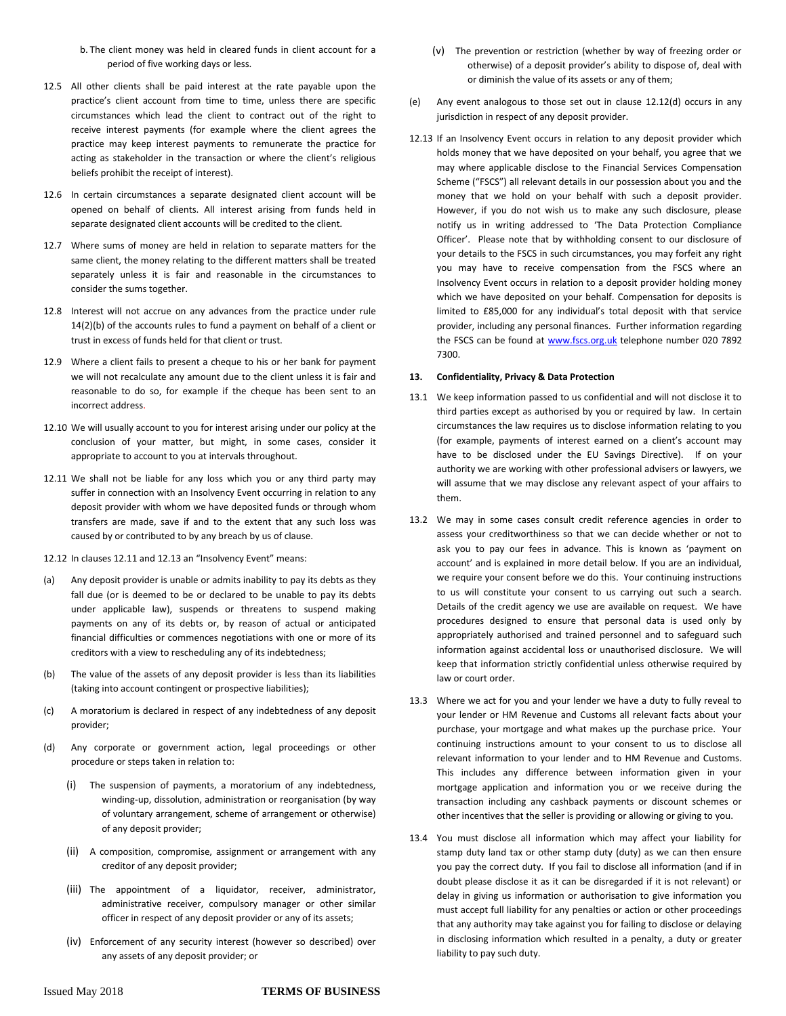- b. The client money was held in cleared funds in client account for a period of five working days or less.
- 12.5 All other clients shall be paid interest at the rate payable upon the practice's client account from time to time, unless there are specific circumstances which lead the client to contract out of the right to receive interest payments (for example where the client agrees the practice may keep interest payments to remunerate the practice for acting as stakeholder in the transaction or where the client's religious beliefs prohibit the receipt of interest).
- 12.6 In certain circumstances a separate designated client account will be opened on behalf of clients. All interest arising from funds held in separate designated client accounts will be credited to the client.
- 12.7 Where sums of money are held in relation to separate matters for the same client, the money relating to the different matters shall be treated separately unless it is fair and reasonable in the circumstances to consider the sums together.
- 12.8 Interest will not accrue on any advances from the practice under rule 14(2)(b) of the accounts rules to fund a payment on behalf of a client or trust in excess of funds held for that client or trust.
- 12.9 Where a client fails to present a cheque to his or her bank for payment we will not recalculate any amount due to the client unless it is fair and reasonable to do so, for example if the cheque has been sent to an incorrect address.
- 12.10 We will usually account to you for interest arising under our policy at the conclusion of your matter, but might, in some cases, consider it appropriate to account to you at intervals throughout.
- 12.11 We shall not be liable for any loss which you or any third party may suffer in connection with an Insolvency Event occurring in relation to any deposit provider with whom we have deposited funds or through whom transfers are made, save if and to the extent that any such loss was caused by or contributed to by any breach by us of clause.
- 12.12 In clauses 12.11 and 12.13 an "Insolvency Event" means:
- (a) Any deposit provider is unable or admits inability to pay its debts as they fall due (or is deemed to be or declared to be unable to pay its debts under applicable law), suspends or threatens to suspend making payments on any of its debts or, by reason of actual or anticipated financial difficulties or commences negotiations with one or more of its creditors with a view to rescheduling any of its indebtedness;
- (b) The value of the assets of any deposit provider is less than its liabilities (taking into account contingent or prospective liabilities);
- (c) A moratorium is declared in respect of any indebtedness of any deposit provider;
- (d) Any corporate or government action, legal proceedings or other procedure or steps taken in relation to:
	- (i) The suspension of payments, a moratorium of any indebtedness, winding-up, dissolution, administration or reorganisation (by way of voluntary arrangement, scheme of arrangement or otherwise) of any deposit provider;
	- (ii) A composition, compromise, assignment or arrangement with any creditor of any deposit provider;
	- (iii) The appointment of a liquidator, receiver, administrator, administrative receiver, compulsory manager or other similar officer in respect of any deposit provider or any of its assets;
	- (iv) Enforcement of any security interest (however so described) over any assets of any deposit provider; or
- (v) The prevention or restriction (whether by way of freezing order or otherwise) of a deposit provider's ability to dispose of, deal with or diminish the value of its assets or any of them;
- (e) Any event analogous to those set out in clause 12.12(d) occurs in any jurisdiction in respect of any deposit provider.
- 12.13 If an Insolvency Event occurs in relation to any deposit provider which holds money that we have deposited on your behalf, you agree that we may where applicable disclose to the Financial Services Compensation Scheme ("FSCS") all relevant details in our possession about you and the money that we hold on your behalf with such a deposit provider. However, if you do not wish us to make any such disclosure, please notify us in writing addressed to 'The Data Protection Compliance Officer'. Please note that by withholding consent to our disclosure of your details to the FSCS in such circumstances, you may forfeit any right you may have to receive compensation from the FSCS where an Insolvency Event occurs in relation to a deposit provider holding money which we have deposited on your behalf. Compensation for deposits is limited to £85,000 for any individual's total deposit with that service provider, including any personal finances. Further information regarding the FSCS can be found a[t www.fscs.org.uk](http://www.fscs.org.uk/) telephone number 020 7892 7300.

#### **13. Confidentiality, Privacy & Data Protection**

- 13.1 We keep information passed to us confidential and will not disclose it to third parties except as authorised by you or required by law. In certain circumstances the law requires us to disclose information relating to you (for example, payments of interest earned on a client's account may have to be disclosed under the EU Savings Directive). If on your authority we are working with other professional advisers or lawyers, we will assume that we may disclose any relevant aspect of your affairs to them.
- 13.2 We may in some cases consult credit reference agencies in order to assess your creditworthiness so that we can decide whether or not to ask you to pay our fees in advance. This is known as 'payment on account' and is explained in more detail below. If you are an individual, we require your consent before we do this. Your continuing instructions to us will constitute your consent to us carrying out such a search. Details of the credit agency we use are available on request. We have procedures designed to ensure that personal data is used only by appropriately authorised and trained personnel and to safeguard such information against accidental loss or unauthorised disclosure. We will keep that information strictly confidential unless otherwise required by law or court order.
- 13.3 Where we act for you and your lender we have a duty to fully reveal to your lender or HM Revenue and Customs all relevant facts about your purchase, your mortgage and what makes up the purchase price. Your continuing instructions amount to your consent to us to disclose all relevant information to your lender and to HM Revenue and Customs. This includes any difference between information given in your mortgage application and information you or we receive during the transaction including any cashback payments or discount schemes or other incentives that the seller is providing or allowing or giving to you.
- 13.4 You must disclose all information which may affect your liability for stamp duty land tax or other stamp duty (duty) as we can then ensure you pay the correct duty. If you fail to disclose all information (and if in doubt please disclose it as it can be disregarded if it is not relevant) or delay in giving us information or authorisation to give information you must accept full liability for any penalties or action or other proceedings that any authority may take against you for failing to disclose or delaying in disclosing information which resulted in a penalty, a duty or greater liability to pay such duty.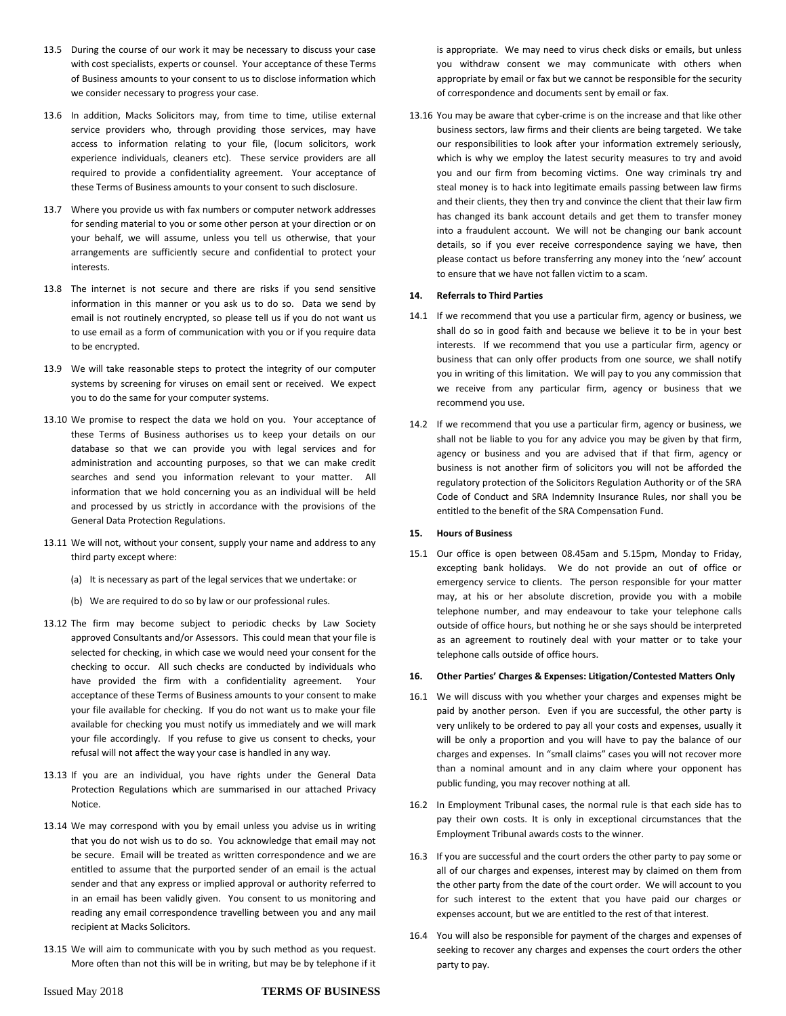- 13.5 During the course of our work it may be necessary to discuss your case with cost specialists, experts or counsel. Your acceptance of these Terms of Business amounts to your consent to us to disclose information which we consider necessary to progress your case.
- 13.6 In addition, Macks Solicitors may, from time to time, utilise external service providers who, through providing those services, may have access to information relating to your file, (locum solicitors, work experience individuals, cleaners etc). These service providers are all required to provide a confidentiality agreement. Your acceptance of these Terms of Business amounts to your consent to such disclosure.
- 13.7 Where you provide us with fax numbers or computer network addresses for sending material to you or some other person at your direction or on your behalf, we will assume, unless you tell us otherwise, that your arrangements are sufficiently secure and confidential to protect your interests.
- 13.8 The internet is not secure and there are risks if you send sensitive information in this manner or you ask us to do so. Data we send by email is not routinely encrypted, so please tell us if you do not want us to use email as a form of communication with you or if you require data to be encrypted.
- 13.9 We will take reasonable steps to protect the integrity of our computer systems by screening for viruses on email sent or received. We expect you to do the same for your computer systems.
- 13.10 We promise to respect the data we hold on you. Your acceptance of these Terms of Business authorises us to keep your details on our database so that we can provide you with legal services and for administration and accounting purposes, so that we can make credit searches and send you information relevant to your matter. All information that we hold concerning you as an individual will be held and processed by us strictly in accordance with the provisions of the General Data Protection Regulations.
- 13.11 We will not, without your consent, supply your name and address to any third party except where:
	- (a) It is necessary as part of the legal services that we undertake: or
	- (b) We are required to do so by law or our professional rules.
- 13.12 The firm may become subject to periodic checks by Law Society approved Consultants and/or Assessors. This could mean that your file is selected for checking, in which case we would need your consent for the checking to occur. All such checks are conducted by individuals who have provided the firm with a confidentiality agreement. Your acceptance of these Terms of Business amounts to your consent to make your file available for checking. If you do not want us to make your file available for checking you must notify us immediately and we will mark your file accordingly. If you refuse to give us consent to checks, your refusal will not affect the way your case is handled in any way.
- 13.13 If you are an individual, you have rights under the General Data Protection Regulations which are summarised in our attached Privacy Notice.
- 13.14 We may correspond with you by email unless you advise us in writing that you do not wish us to do so. You acknowledge that email may not be secure. Email will be treated as written correspondence and we are entitled to assume that the purported sender of an email is the actual sender and that any express or implied approval or authority referred to in an email has been validly given. You consent to us monitoring and reading any email correspondence travelling between you and any mail recipient at Macks Solicitors.
- 13.15 We will aim to communicate with you by such method as you request. More often than not this will be in writing, but may be by telephone if it

is appropriate. We may need to virus check disks or emails, but unless you withdraw consent we may communicate with others when appropriate by email or fax but we cannot be responsible for the security of correspondence and documents sent by email or fax.

13.16 You may be aware that cyber-crime is on the increase and that like other business sectors, law firms and their clients are being targeted. We take our responsibilities to look after your information extremely seriously, which is why we employ the latest security measures to try and avoid you and our firm from becoming victims. One way criminals try and steal money is to hack into legitimate emails passing between law firms and their clients, they then try and convince the client that their law firm has changed its bank account details and get them to transfer money into a fraudulent account. We will not be changing our bank account details, so if you ever receive correspondence saying we have, then please contact us before transferring any money into the 'new' account to ensure that we have not fallen victim to a scam.

# **14. Referrals to Third Parties**

- 14.1 If we recommend that you use a particular firm, agency or business, we shall do so in good faith and because we believe it to be in your best interests. If we recommend that you use a particular firm, agency or business that can only offer products from one source, we shall notify you in writing of this limitation. We will pay to you any commission that we receive from any particular firm, agency or business that we recommend you use.
- 14.2 If we recommend that you use a particular firm, agency or business, we shall not be liable to you for any advice you may be given by that firm, agency or business and you are advised that if that firm, agency or business is not another firm of solicitors you will not be afforded the regulatory protection of the Solicitors Regulation Authority or of the SRA Code of Conduct and SRA Indemnity Insurance Rules, nor shall you be entitled to the benefit of the SRA Compensation Fund.

# **15. Hours of Business**

15.1 Our office is open between 08.45am and 5.15pm, Monday to Friday, excepting bank holidays. We do not provide an out of office or emergency service to clients. The person responsible for your matter may, at his or her absolute discretion, provide you with a mobile telephone number, and may endeavour to take your telephone calls outside of office hours, but nothing he or she says should be interpreted as an agreement to routinely deal with your matter or to take your telephone calls outside of office hours.

#### **16. Other Parties' Charges & Expenses: Litigation/Contested Matters Only**

- 16.1 We will discuss with you whether your charges and expenses might be paid by another person. Even if you are successful, the other party is very unlikely to be ordered to pay all your costs and expenses, usually it will be only a proportion and you will have to pay the balance of our charges and expenses. In "small claims" cases you will not recover more than a nominal amount and in any claim where your opponent has public funding, you may recover nothing at all.
- 16.2 In Employment Tribunal cases, the normal rule is that each side has to pay their own costs. It is only in exceptional circumstances that the Employment Tribunal awards costs to the winner.
- 16.3 If you are successful and the court orders the other party to pay some or all of our charges and expenses, interest may by claimed on them from the other party from the date of the court order. We will account to you for such interest to the extent that you have paid our charges or expenses account, but we are entitled to the rest of that interest.
- 16.4 You will also be responsible for payment of the charges and expenses of seeking to recover any charges and expenses the court orders the other party to pay.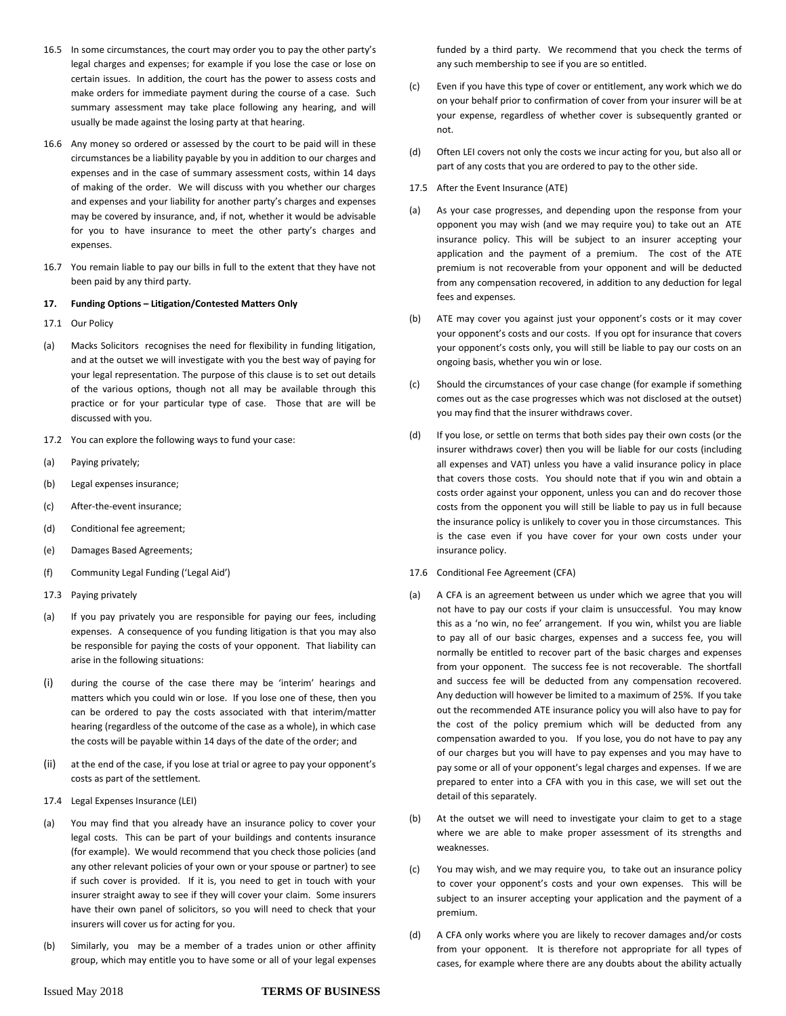- 16.5 In some circumstances, the court may order you to pay the other party's legal charges and expenses; for example if you lose the case or lose on certain issues. In addition, the court has the power to assess costs and make orders for immediate payment during the course of a case. Such summary assessment may take place following any hearing, and will usually be made against the losing party at that hearing.
- 16.6 Any money so ordered or assessed by the court to be paid will in these circumstances be a liability payable by you in addition to our charges and expenses and in the case of summary assessment costs, within 14 days of making of the order. We will discuss with you whether our charges and expenses and your liability for another party's charges and expenses may be covered by insurance, and, if not, whether it would be advisable for you to have insurance to meet the other party's charges and expenses.
- 16.7 You remain liable to pay our bills in full to the extent that they have not been paid by any third party.

#### **17. Funding Options – Litigation/Contested Matters Only**

- 17.1 Our Policy
- (a) Macks Solicitors recognises the need for flexibility in funding litigation, and at the outset we will investigate with you the best way of paying for your legal representation. The purpose of this clause is to set out details of the various options, though not all may be available through this practice or for your particular type of case. Those that are will be discussed with you.
- 17.2 You can explore the following ways to fund your case:
- (a) Paying privately;
- (b) Legal expenses insurance;
- (c) After-the-event insurance;
- (d) Conditional fee agreement;
- (e) Damages Based Agreements;
- (f) Community Legal Funding ('Legal Aid')
- 17.3 Paying privately
- (a) If you pay privately you are responsible for paying our fees, including expenses. A consequence of you funding litigation is that you may also be responsible for paying the costs of your opponent. That liability can arise in the following situations:
- (i) during the course of the case there may be 'interim' hearings and matters which you could win or lose. If you lose one of these, then you can be ordered to pay the costs associated with that interim/matter hearing (regardless of the outcome of the case as a whole), in which case the costs will be payable within 14 days of the date of the order; and
- (ii) at the end of the case, if you lose at trial or agree to pay your opponent's costs as part of the settlement.
- 17.4 Legal Expenses Insurance (LEI)
- (a) You may find that you already have an insurance policy to cover your legal costs. This can be part of your buildings and contents insurance (for example). We would recommend that you check those policies (and any other relevant policies of your own or your spouse or partner) to see if such cover is provided. If it is, you need to get in touch with your insurer straight away to see if they will cover your claim. Some insurers have their own panel of solicitors, so you will need to check that your insurers will cover us for acting for you.
- (b) Similarly, you may be a member of a trades union or other affinity group, which may entitle you to have some or all of your legal expenses

funded by a third party. We recommend that you check the terms of any such membership to see if you are so entitled.

- (c) Even if you have this type of cover or entitlement, any work which we do on your behalf prior to confirmation of cover from your insurer will be at your expense, regardless of whether cover is subsequently granted or not.
- (d) Often LEI covers not only the costs we incur acting for you, but also all or part of any costs that you are ordered to pay to the other side.
- 17.5 After the Event Insurance (ATE)
- (a) As your case progresses, and depending upon the response from your opponent you may wish (and we may require you) to take out an ATE insurance policy. This will be subject to an insurer accepting your application and the payment of a premium. The cost of the ATE premium is not recoverable from your opponent and will be deducted from any compensation recovered, in addition to any deduction for legal fees and expenses.
- (b) ATE may cover you against just your opponent's costs or it may cover your opponent's costs and our costs. If you opt for insurance that covers your opponent's costs only, you will still be liable to pay our costs on an ongoing basis, whether you win or lose.
- (c) Should the circumstances of your case change (for example if something comes out as the case progresses which was not disclosed at the outset) you may find that the insurer withdraws cover.
- (d) If you lose, or settle on terms that both sides pay their own costs (or the insurer withdraws cover) then you will be liable for our costs (including all expenses and VAT) unless you have a valid insurance policy in place that covers those costs. You should note that if you win and obtain a costs order against your opponent, unless you can and do recover those costs from the opponent you will still be liable to pay us in full because the insurance policy is unlikely to cover you in those circumstances. This is the case even if you have cover for your own costs under your insurance policy.
- 17.6 Conditional Fee Agreement (CFA)
- (a) A CFA is an agreement between us under which we agree that you will not have to pay our costs if your claim is unsuccessful. You may know this as a 'no win, no fee' arrangement. If you win, whilst you are liable to pay all of our basic charges, expenses and a success fee, you will normally be entitled to recover part of the basic charges and expenses from your opponent. The success fee is not recoverable. The shortfall and success fee will be deducted from any compensation recovered. Any deduction will however be limited to a maximum of 25%. If you take out the recommended ATE insurance policy you will also have to pay for the cost of the policy premium which will be deducted from any compensation awarded to you. If you lose, you do not have to pay any of our charges but you will have to pay expenses and you may have to pay some or all of your opponent's legal charges and expenses. If we are prepared to enter into a CFA with you in this case, we will set out the detail of this separately.
- (b) At the outset we will need to investigate your claim to get to a stage where we are able to make proper assessment of its strengths and weaknesses.
- (c) You may wish, and we may require you, to take out an insurance policy to cover your opponent's costs and your own expenses. This will be subject to an insurer accepting your application and the payment of a premium.
- (d) A CFA only works where you are likely to recover damages and/or costs from your opponent. It is therefore not appropriate for all types of cases, for example where there are any doubts about the ability actually